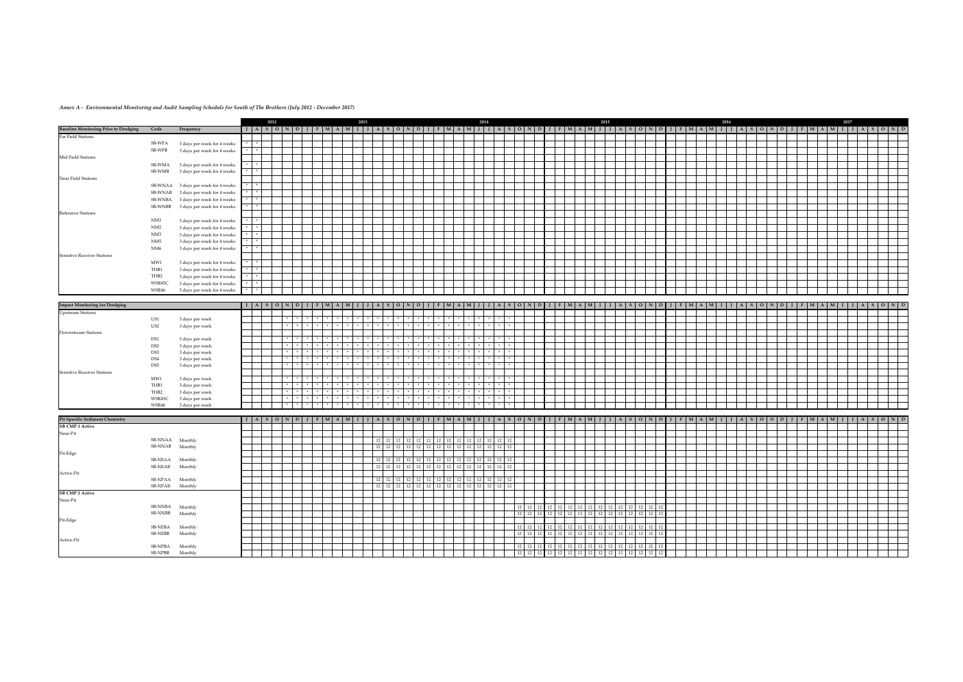|                                        |                            |                                    |                         | 2012 |               |               |     |                                             | 2013 |              |                     |       |                                                               |         |                        |     | 2014                                            |          |  |                   | 2015                                                                                                                                                                  |  |  |  | 2016                                        |     |  |                                     |  |  | 2017 |                                 |  |  |
|----------------------------------------|----------------------------|------------------------------------|-------------------------|------|---------------|---------------|-----|---------------------------------------------|------|--------------|---------------------|-------|---------------------------------------------------------------|---------|------------------------|-----|-------------------------------------------------|----------|--|-------------------|-----------------------------------------------------------------------------------------------------------------------------------------------------------------------|--|--|--|---------------------------------------------|-----|--|-------------------------------------|--|--|------|---------------------------------|--|--|
| Baseline Monitoring Prior to Dredging  | Code                       | Frequency                          | $J$ $A$ $S$ $O$ $N$     |      |               |               | DII | $F$   M   A   M   J   J   A   S   O   N   D |      |              |                     |       |                                                               |         |                        |     |                                                 |          |  |                   | J   F   M   A   M   J   J   A   S   O   N   D   J   F   M   A   M   J   J   A   S   O   N   D   J   F   M   A   M   J   J   F   M   A   M   J   J   A   S   O   N   D |  |  |  |                                             |     |  |                                     |  |  |      |                                 |  |  |
| Far Field Stations                     |                            |                                    |                         |      |               |               |     |                                             |      |              |                     |       |                                                               |         |                        |     |                                                 |          |  |                   |                                                                                                                                                                       |  |  |  |                                             |     |  |                                     |  |  |      |                                 |  |  |
|                                        | SB-WFA                     | 3 days per week for 4 weeks        |                         |      |               |               |     |                                             |      |              |                     |       |                                                               |         |                        |     |                                                 |          |  |                   |                                                                                                                                                                       |  |  |  |                                             |     |  |                                     |  |  |      |                                 |  |  |
|                                        | SB-WFB                     | 3 days per week for 4 weeks        |                         |      |               |               |     |                                             |      |              |                     |       |                                                               |         |                        |     |                                                 |          |  |                   |                                                                                                                                                                       |  |  |  |                                             |     |  |                                     |  |  |      |                                 |  |  |
| Mid Field Stations                     |                            |                                    |                         |      |               |               |     |                                             |      |              |                     |       |                                                               |         |                        |     |                                                 |          |  |                   |                                                                                                                                                                       |  |  |  |                                             |     |  |                                     |  |  |      |                                 |  |  |
|                                        | SB-WMA                     | 3 days per week for 4 weeks        |                         |      |               |               |     |                                             |      |              |                     |       |                                                               |         |                        |     |                                                 |          |  |                   |                                                                                                                                                                       |  |  |  |                                             |     |  |                                     |  |  |      |                                 |  |  |
|                                        | SB-WMB                     | 3 days per week for 4 weeks        |                         |      |               |               |     |                                             |      |              |                     |       |                                                               |         |                        |     |                                                 |          |  |                   |                                                                                                                                                                       |  |  |  |                                             |     |  |                                     |  |  |      |                                 |  |  |
| Near Field Stations                    |                            |                                    |                         |      |               |               |     |                                             |      |              |                     |       |                                                               |         |                        |     |                                                 |          |  |                   |                                                                                                                                                                       |  |  |  |                                             |     |  |                                     |  |  |      |                                 |  |  |
|                                        | SB-WNAA                    | 3 days per week for 4 weeks        |                         |      |               |               |     |                                             |      |              |                     |       |                                                               |         |                        |     |                                                 |          |  |                   |                                                                                                                                                                       |  |  |  |                                             |     |  |                                     |  |  |      |                                 |  |  |
|                                        | SB-WNAB                    | 3 days per week for 4 weeks        |                         |      |               |               |     |                                             |      |              |                     |       |                                                               |         |                        |     |                                                 |          |  |                   |                                                                                                                                                                       |  |  |  |                                             |     |  |                                     |  |  |      |                                 |  |  |
|                                        | SB-WNBA                    | 3 days per week for 4 weeks        |                         |      |               |               |     |                                             |      |              |                     |       |                                                               |         |                        |     |                                                 |          |  |                   |                                                                                                                                                                       |  |  |  |                                             |     |  |                                     |  |  |      |                                 |  |  |
|                                        | SB-WNBB                    | 3 days per week for 4 weeks        |                         |      |               |               |     |                                             |      |              |                     |       |                                                               |         |                        |     |                                                 |          |  |                   |                                                                                                                                                                       |  |  |  |                                             |     |  |                                     |  |  |      |                                 |  |  |
| Reference Stations                     |                            |                                    |                         |      |               |               |     |                                             |      |              |                     |       |                                                               |         |                        |     |                                                 |          |  |                   |                                                                                                                                                                       |  |  |  |                                             |     |  |                                     |  |  |      |                                 |  |  |
|                                        | NM1                        | 3 days per week for 4 weeks        |                         |      |               |               |     |                                             |      |              |                     |       |                                                               |         |                        |     |                                                 |          |  |                   |                                                                                                                                                                       |  |  |  |                                             |     |  |                                     |  |  |      |                                 |  |  |
|                                        | NM2                        | 3 days per week for 4 weeks        |                         |      |               |               |     |                                             |      |              |                     |       |                                                               |         |                        |     |                                                 |          |  |                   |                                                                                                                                                                       |  |  |  |                                             |     |  |                                     |  |  |      |                                 |  |  |
|                                        | NM3                        | 3 days per week for 4 weeks        |                         |      |               |               |     |                                             |      |              |                     |       |                                                               |         |                        |     |                                                 |          |  |                   |                                                                                                                                                                       |  |  |  |                                             |     |  |                                     |  |  |      |                                 |  |  |
|                                        | NM5                        | 3 days per week for 4 weeks        |                         |      |               |               |     |                                             |      |              |                     |       |                                                               |         |                        |     |                                                 |          |  |                   |                                                                                                                                                                       |  |  |  |                                             |     |  |                                     |  |  |      |                                 |  |  |
|                                        | NM <sub>6</sub>            | 3 days per week for 4 weeks        | $\ast$                  |      |               |               |     |                                             |      |              |                     |       |                                                               |         |                        |     |                                                 |          |  |                   |                                                                                                                                                                       |  |  |  |                                             |     |  |                                     |  |  |      |                                 |  |  |
| Sensitive Receiver Stations            |                            |                                    |                         |      |               |               |     |                                             |      |              |                     |       |                                                               |         |                        |     |                                                 |          |  |                   |                                                                                                                                                                       |  |  |  |                                             |     |  |                                     |  |  |      |                                 |  |  |
|                                        | MW1                        | 3 days per week for 4 weeks        |                         |      |               |               |     |                                             |      |              |                     |       |                                                               |         |                        |     |                                                 |          |  |                   |                                                                                                                                                                       |  |  |  |                                             |     |  |                                     |  |  |      |                                 |  |  |
|                                        | THB1                       | 3 days per week for 4 weeks        |                         |      |               |               |     |                                             |      |              |                     |       |                                                               |         |                        |     |                                                 |          |  |                   |                                                                                                                                                                       |  |  |  |                                             |     |  |                                     |  |  |      |                                 |  |  |
|                                        | THB2                       | 3 days per week for 4 weeks        |                         |      |               |               |     |                                             |      |              |                     |       |                                                               |         |                        |     |                                                 |          |  |                   |                                                                                                                                                                       |  |  |  |                                             |     |  |                                     |  |  |      |                                 |  |  |
|                                        | WSR45C                     | 3 days per week for 4 weeks        |                         |      |               |               |     |                                             |      |              |                     |       |                                                               |         |                        |     |                                                 |          |  |                   |                                                                                                                                                                       |  |  |  |                                             |     |  |                                     |  |  |      |                                 |  |  |
|                                        | WSR46                      | 3 days per week for 4 weeks        | $\ast$<br>$\mathcal{H}$ |      |               |               |     |                                             |      |              |                     |       |                                                               |         |                        |     |                                                 |          |  |                   |                                                                                                                                                                       |  |  |  |                                             |     |  |                                     |  |  |      |                                 |  |  |
|                                        |                            |                                    |                         |      |               |               |     |                                             |      |              |                     |       |                                                               |         |                        |     |                                                 |          |  |                   |                                                                                                                                                                       |  |  |  |                                             |     |  |                                     |  |  |      |                                 |  |  |
| <b>Impact Monitoring for Dredging</b>  |                            |                                    |                         |      |               |               |     |                                             |      |              |                     |       |                                                               |         |                        |     |                                                 |          |  |                   | J A S O N D J F M A M J J A S O N D J F M A M J J A S O N D J F M A M J J A S O N D J F M A M J J A S O N D J F M A M J J A S O N D                                   |  |  |  |                                             |     |  |                                     |  |  |      |                                 |  |  |
| <b>Upstream Stations</b>               | US1                        |                                    |                         |      |               |               |     | $\pm$                                       |      | $*$          |                     |       | $\mathcal{R}=\mathcal{R}+\mathcal{R}$                         |         |                        |     |                                                 |          |  |                   |                                                                                                                                                                       |  |  |  |                                             |     |  |                                     |  |  |      |                                 |  |  |
|                                        | US2                        | 3 days per week<br>3 days per week |                         |      | $\rightarrow$ |               |     | $*$                                         |      | $*$          | $\rightarrow$       |       | $\begin{array}{cccccccccccccc} * & * & * & * & * \end{array}$ |         | ∗                      |     | $*$                                             |          |  |                   |                                                                                                                                                                       |  |  |  |                                             |     |  |                                     |  |  |      |                                 |  |  |
| Downstream Stations                    |                            |                                    |                         |      |               |               |     |                                             |      |              |                     |       |                                                               |         |                        |     |                                                 |          |  |                   |                                                                                                                                                                       |  |  |  |                                             |     |  |                                     |  |  |      |                                 |  |  |
|                                        | DS1                        | 3 days per week                    |                         |      |               |               |     |                                             |      |              |                     |       |                                                               |         |                        |     |                                                 |          |  |                   |                                                                                                                                                                       |  |  |  |                                             |     |  |                                     |  |  |      |                                 |  |  |
|                                        | DS <sub>2</sub>            | 3 days per week                    |                         |      |               | $\rightarrow$ |     | $*$                                         |      | $*$          |                     |       | $\mathcal{H}$ .                                               | $*$ $*$ |                        |     |                                                 |          |  |                   |                                                                                                                                                                       |  |  |  |                                             |     |  |                                     |  |  |      |                                 |  |  |
|                                        | DS3                        | 3 days per week                    |                         |      |               |               |     |                                             |      |              |                     |       |                                                               |         |                        |     |                                                 |          |  |                   |                                                                                                                                                                       |  |  |  |                                             |     |  |                                     |  |  |      |                                 |  |  |
|                                        | DS4                        | 3 days per week                    |                         |      |               | $\rightarrow$ |     | $*$ $*$                                     |      | $*$          |                     |       | $*$ $*$ $*$                                                   |         |                        |     | $*$                                             |          |  |                   |                                                                                                                                                                       |  |  |  |                                             |     |  |                                     |  |  |      |                                 |  |  |
|                                        | DS5                        | 3 days per week                    |                         |      |               | $\rightarrow$ |     | $*$                                         |      | $\ast$       |                     |       |                                                               |         |                        |     |                                                 |          |  |                   |                                                                                                                                                                       |  |  |  |                                             |     |  |                                     |  |  |      |                                 |  |  |
| Sensitive Receiver Stations            |                            |                                    |                         |      |               |               |     |                                             |      |              |                     |       |                                                               |         |                        |     |                                                 |          |  |                   |                                                                                                                                                                       |  |  |  |                                             |     |  |                                     |  |  |      |                                 |  |  |
|                                        | MW1                        | 3 days per week                    |                         |      |               |               |     |                                             |      |              |                     |       |                                                               |         |                        |     |                                                 |          |  |                   |                                                                                                                                                                       |  |  |  |                                             |     |  |                                     |  |  |      |                                 |  |  |
|                                        | THB1                       | 3 days per week                    |                         |      |               | $-8$          |     | $*$                                         |      | $+$          | $\Rightarrow$       |       |                                                               | * *     |                        | $*$ |                                                 |          |  |                   |                                                                                                                                                                       |  |  |  |                                             |     |  |                                     |  |  |      |                                 |  |  |
|                                        | THB2                       | 3 days per week                    |                         |      |               | $\pm$         |     | $\ast$<br>$\pm$                             |      | $*$<br>$\pm$ |                     |       | $\mathcal{A}$ .                                               | $*$ $*$ |                        |     |                                                 |          |  |                   |                                                                                                                                                                       |  |  |  |                                             |     |  |                                     |  |  |      |                                 |  |  |
|                                        | WSR45C<br>WSR46            | 3 days per week<br>3 days per week |                         |      |               | $\rightarrow$ |     |                                             |      | $*$          |                     |       |                                                               |         |                        |     | $*$                                             |          |  |                   |                                                                                                                                                                       |  |  |  |                                             |     |  |                                     |  |  |      |                                 |  |  |
|                                        |                            |                                    |                         |      |               |               |     |                                             |      |              |                     |       |                                                               |         |                        |     |                                                 |          |  |                   |                                                                                                                                                                       |  |  |  |                                             |     |  |                                     |  |  |      |                                 |  |  |
| <b>Pit Specific Sediment Chemistry</b> |                            |                                    | J   A   S   O   N   D   |      |               |               |     | M A M I I                                   |      |              | $A$ $S$ $O$ $N$ $D$ |       |                                                               |         |                        |     | $I$ $F$ $M$ $A$ $M$ $I$ $I$ $I$ $A$ $S$ $O$ $N$ |          |  |                   | $D$ $I$ $I$ $F$ $M$ $A$ $M$ $I$ $I$ $I$ $A$                                                                                                                           |  |  |  | $S$   O   N   D   J   F   M   A   M   J   J | S I |  | $[O] N   D   I   F   M   A   M   I$ |  |  |      | $A \mid S \mid O \mid N \mid D$ |  |  |
| <b>SB CMP 1 Active</b>                 |                            |                                    |                         |      |               |               |     |                                             |      |              |                     |       |                                                               |         |                        |     |                                                 |          |  |                   |                                                                                                                                                                       |  |  |  |                                             |     |  |                                     |  |  |      |                                 |  |  |
| Near-Pit                               |                            |                                    |                         |      |               |               |     |                                             |      |              |                     |       |                                                               |         |                        |     |                                                 |          |  |                   |                                                                                                                                                                       |  |  |  |                                             |     |  |                                     |  |  |      |                                 |  |  |
|                                        | SB-NNAA                    | Monthly                            |                         |      |               |               |     |                                             |      |              | 12 12 12            |       |                                                               |         |                        |     | 12 12 12 12 12 12 12 12 12 12 12 12             |          |  |                   |                                                                                                                                                                       |  |  |  |                                             |     |  |                                     |  |  |      |                                 |  |  |
|                                        | SB-NNAB Monthly            |                                    |                         |      |               |               |     |                                             |      | 12 12        | 12                  | 12 12 |                                                               |         | 12   12   12   12   12 |     | 12                                              | 12 12 12 |  |                   |                                                                                                                                                                       |  |  |  |                                             |     |  |                                     |  |  |      |                                 |  |  |
| Pit-Edge                               |                            |                                    |                         |      |               |               |     |                                             |      |              |                     |       |                                                               |         |                        |     |                                                 |          |  |                   |                                                                                                                                                                       |  |  |  |                                             |     |  |                                     |  |  |      |                                 |  |  |
|                                        | SB-NEAA<br>SB-NEAB Monthly | Monthly                            |                         |      |               |               |     |                                             |      | 12 12        | 12                  | 12 12 |                                                               |         |                        |     | 12 12 12 12 12 12                               | 12 12 12 |  |                   |                                                                                                                                                                       |  |  |  |                                             |     |  |                                     |  |  |      |                                 |  |  |
| Active-Pit                             |                            |                                    |                         |      |               |               |     |                                             |      |              |                     |       |                                                               |         |                        |     |                                                 |          |  |                   |                                                                                                                                                                       |  |  |  |                                             |     |  |                                     |  |  |      |                                 |  |  |
|                                        | SB-NPAA Monthly            |                                    |                         |      |               |               |     |                                             |      |              |                     |       |                                                               |         |                        |     |                                                 |          |  |                   |                                                                                                                                                                       |  |  |  |                                             |     |  |                                     |  |  |      |                                 |  |  |
|                                        | SB-NPAB Monthly            |                                    |                         |      |               |               |     |                                             |      |              |                     |       |                                                               |         |                        |     |                                                 |          |  |                   |                                                                                                                                                                       |  |  |  |                                             |     |  |                                     |  |  |      |                                 |  |  |
| <b>SB CMP 2 Active</b>                 |                            |                                    |                         |      |               |               |     |                                             |      |              |                     |       |                                                               |         |                        |     |                                                 |          |  |                   |                                                                                                                                                                       |  |  |  |                                             |     |  |                                     |  |  |      |                                 |  |  |
| Near-Pit                               |                            |                                    |                         |      |               |               |     |                                             |      |              |                     |       |                                                               |         |                        |     |                                                 |          |  |                   |                                                                                                                                                                       |  |  |  |                                             |     |  |                                     |  |  |      |                                 |  |  |
|                                        | SB-NNBA Monthly            |                                    |                         |      |               |               |     |                                             |      |              |                     |       |                                                               |         |                        |     |                                                 |          |  |                   |                                                                                                                                                                       |  |  |  |                                             |     |  |                                     |  |  |      |                                 |  |  |
|                                        | SB-NNBB Monthly            |                                    |                         |      |               |               |     |                                             |      |              |                     |       |                                                               |         |                        |     |                                                 |          |  | 12 12 12 12 12 12 | 12 12 12 12 12 12 12 12 12                                                                                                                                            |  |  |  |                                             |     |  |                                     |  |  |      |                                 |  |  |
| Pit-Edge                               |                            |                                    |                         |      |               |               |     |                                             |      |              |                     |       |                                                               |         |                        |     |                                                 |          |  |                   |                                                                                                                                                                       |  |  |  |                                             |     |  |                                     |  |  |      |                                 |  |  |
|                                        | <b>SB-NEBA</b>             | Monthly                            |                         |      |               |               |     |                                             |      |              |                     |       |                                                               |         |                        |     |                                                 |          |  |                   |                                                                                                                                                                       |  |  |  |                                             |     |  |                                     |  |  |      |                                 |  |  |
|                                        | <b>SB-NEBB</b>             | Monthly                            |                         |      |               |               |     |                                             |      |              |                     |       |                                                               |         |                        |     |                                                 |          |  |                   |                                                                                                                                                                       |  |  |  |                                             |     |  |                                     |  |  |      |                                 |  |  |
| Active-Pit                             |                            |                                    |                         |      |               |               |     |                                             |      |              |                     |       |                                                               |         |                        |     |                                                 |          |  |                   |                                                                                                                                                                       |  |  |  |                                             |     |  |                                     |  |  |      |                                 |  |  |
|                                        | SB-NPBA                    | Monthly                            |                         |      |               |               |     |                                             |      |              |                     |       |                                                               |         |                        |     |                                                 |          |  |                   |                                                                                                                                                                       |  |  |  |                                             |     |  |                                     |  |  |      |                                 |  |  |
|                                        | SB-NPBB                    | Monthly                            |                         |      |               |               |     |                                             |      |              |                     |       |                                                               |         |                        |     |                                                 |          |  |                   |                                                                                                                                                                       |  |  |  |                                             |     |  |                                     |  |  |      |                                 |  |  |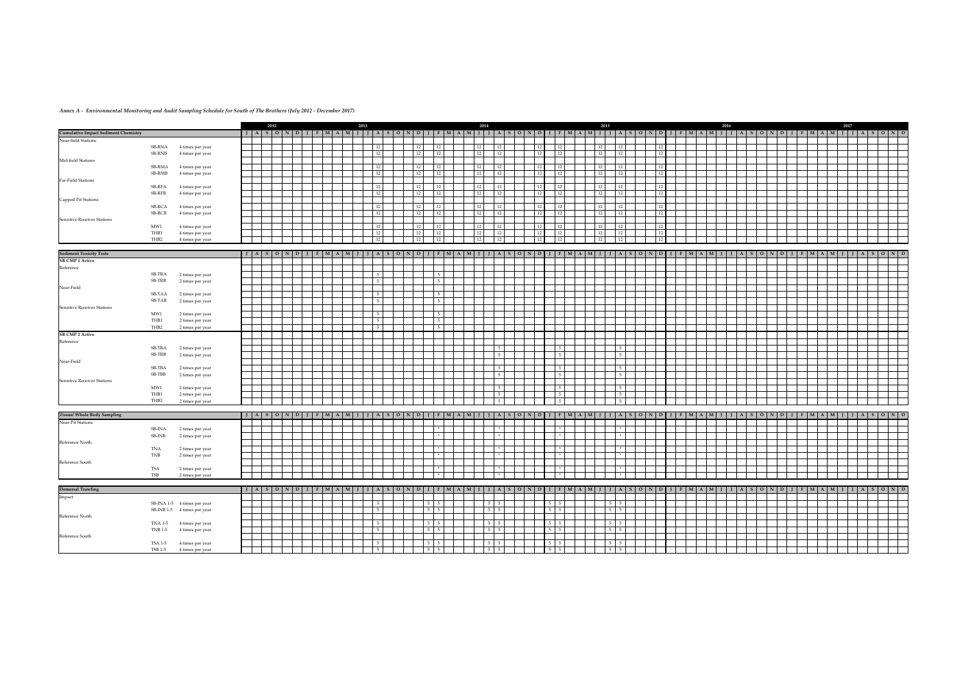|                                             |                  |                                      | 2012 |  |                                                     | 2013 |    |                | 2014                       |               |     |                       |    | 2015                    |                 |  | 2016 |  |  | 2017                                                                                              |                       |  |
|---------------------------------------------|------------------|--------------------------------------|------|--|-----------------------------------------------------|------|----|----------------|----------------------------|---------------|-----|-----------------------|----|-------------------------|-----------------|--|------|--|--|---------------------------------------------------------------------------------------------------|-----------------------|--|
| <b>Cumulative Impact Sediment Chemistry</b> |                  |                                      |      |  |                                                     |      |    |                |                            |               |     |                       |    |                         |                 |  |      |  |  | JJASONDJFMAMJJJASONDJFMAMJJJFMAMJJJASONDJJFMAMJJJASONDJJFMAMJJJASONDJJFMAMJJJASONDJFMAMJJJASONDJ  |                       |  |
| Near-field Stations                         |                  |                                      |      |  |                                                     |      |    |                |                            |               |     |                       |    |                         |                 |  |      |  |  |                                                                                                   |                       |  |
|                                             | SB-RNA           | 4 times per year                     |      |  |                                                     | 12   | 12 | 12             | 12                         | 12            | 12  | 12                    | 12 | 12                      | 12 <sup>1</sup> |  |      |  |  |                                                                                                   |                       |  |
|                                             | SB-RNB           | 4 times per year                     |      |  |                                                     |      | 12 | 12             | 12                         | 12            |     |                       | 12 | 12                      | 12              |  |      |  |  |                                                                                                   |                       |  |
| Mid-field Stations                          |                  |                                      |      |  |                                                     |      |    |                |                            |               |     |                       |    |                         |                 |  |      |  |  |                                                                                                   |                       |  |
|                                             | SB-RMA           | 4 times per year                     |      |  |                                                     | 12   | 12 | 12             | 12                         | 12            |     |                       | 12 | 12                      |                 |  |      |  |  |                                                                                                   |                       |  |
| Far-Field Stations                          | SB-RMB           | 4 times per year                     |      |  |                                                     | 12   | 12 | 12             | 12                         | 12            | -12 | 12                    | 12 | 12 <sup>1</sup>         | 12              |  |      |  |  |                                                                                                   |                       |  |
|                                             | SB-RFA           | 4 times per year                     |      |  |                                                     | 12   | 12 | 12             | 12                         | 12            |     |                       | 12 | 12                      |                 |  |      |  |  |                                                                                                   |                       |  |
|                                             | SB-RFB           | 4 times per year                     |      |  |                                                     | 12   | 12 | 12             | 12                         | 12            | 12  | 12                    | 12 | 12                      | 12 <sup>1</sup> |  |      |  |  |                                                                                                   |                       |  |
| Capped Pit Stations                         |                  |                                      |      |  |                                                     |      |    |                |                            |               |     |                       |    |                         |                 |  |      |  |  |                                                                                                   |                       |  |
|                                             | SB-RCA           | 4 times per year                     |      |  |                                                     | 12   | 12 | 12             | 12                         | 12            |     | 12                    | 12 | 12                      | 12              |  |      |  |  |                                                                                                   |                       |  |
|                                             | SB-RCB           | 4 times per year                     |      |  |                                                     |      | 12 | 12             | 12                         | 12            |     | 12                    | 12 | 12                      |                 |  |      |  |  |                                                                                                   |                       |  |
| Sensitive Receiver Stations                 |                  |                                      |      |  |                                                     |      |    |                |                            |               |     |                       |    |                         |                 |  |      |  |  |                                                                                                   |                       |  |
|                                             | MW1              | 4 times per year                     |      |  |                                                     |      | 12 | 12             | 12                         | <sup>12</sup> |     |                       | 12 | 12                      |                 |  |      |  |  |                                                                                                   |                       |  |
|                                             | THB1             | 4 times per year                     |      |  |                                                     | 12   | 12 | 12             | 12                         | 12            |     | 12                    | 12 | 12                      |                 |  |      |  |  |                                                                                                   |                       |  |
|                                             | THB <sub>2</sub> | 4 times per year                     |      |  |                                                     |      | 12 | 12             | 12                         | $\vert$ 12    |     | 12                    | 12 | 12                      |                 |  |      |  |  |                                                                                                   |                       |  |
| <b>Sediment Toxicity Tests</b>              |                  |                                      |      |  |                                                     |      |    |                |                            |               |     |                       |    |                         |                 |  |      |  |  |                                                                                                   |                       |  |
| <b>SB CMP 1 Active</b>                      |                  |                                      |      |  | $J$ $A$ $S$ $O$ $N$ $D$ $J$ $F$ $M$ $A$ $M$ $J$ $J$ |      |    |                |                            |               |     |                       |    |                         |                 |  |      |  |  | A SONDJFMAMJJJA SONDJFMAMJJJA SONDJFMAMJJJA SONDJJFMAMJJJA SONDJFMAMJ                             | J   A   S   O   N   D |  |
|                                             |                  |                                      |      |  |                                                     |      |    |                |                            |               |     |                       |    |                         |                 |  |      |  |  |                                                                                                   |                       |  |
| Reference                                   | SB-TRA           |                                      |      |  |                                                     |      |    | 5 <sub>1</sub> |                            |               |     |                       |    |                         |                 |  |      |  |  |                                                                                                   |                       |  |
|                                             | SB-TRB           | 2 times per year<br>2 times per year |      |  |                                                     |      |    | 5 <sub>1</sub> |                            |               |     |                       |    |                         |                 |  |      |  |  |                                                                                                   |                       |  |
| Near-Field                                  |                  |                                      |      |  |                                                     |      |    |                |                            |               |     |                       |    |                         |                 |  |      |  |  |                                                                                                   |                       |  |
|                                             | SB-TAA           | 2 times per year                     |      |  |                                                     |      |    | 5 <sub>1</sub> |                            |               |     |                       |    |                         |                 |  |      |  |  |                                                                                                   |                       |  |
|                                             | SB-TAB           | 2 times per year                     |      |  |                                                     |      |    | 5 <sub>1</sub> |                            |               |     |                       |    |                         |                 |  |      |  |  |                                                                                                   |                       |  |
| Sensitive Receiver Stations                 |                  |                                      |      |  |                                                     |      |    |                |                            |               |     |                       |    |                         |                 |  |      |  |  |                                                                                                   |                       |  |
|                                             | MW1              | 2 times per year                     |      |  |                                                     |      |    | 5              |                            |               |     |                       |    |                         |                 |  |      |  |  |                                                                                                   |                       |  |
|                                             | THB1             | 2 times per year                     |      |  |                                                     |      |    | 5 <sub>1</sub> |                            |               |     |                       |    |                         |                 |  |      |  |  |                                                                                                   |                       |  |
|                                             | THB <sub>2</sub> | 2 times per year                     |      |  |                                                     |      |    | 5 <sub>1</sub> |                            |               |     |                       |    |                         |                 |  |      |  |  |                                                                                                   |                       |  |
| <b>SB CMP 2 Active</b>                      |                  |                                      |      |  |                                                     |      |    |                |                            |               |     |                       |    |                         |                 |  |      |  |  |                                                                                                   |                       |  |
| Reference                                   |                  |                                      |      |  |                                                     |      |    |                |                            |               |     |                       |    |                         |                 |  |      |  |  |                                                                                                   |                       |  |
|                                             | SB-TRA           | 2 times per year                     |      |  |                                                     |      |    |                |                            | 5             |     |                       |    | 5 <sup>1</sup>          |                 |  |      |  |  |                                                                                                   |                       |  |
|                                             | SB-TRB           | 2 times per year                     |      |  |                                                     |      |    |                |                            |               |     |                       |    | 5 <sub>1</sub>          |                 |  |      |  |  |                                                                                                   |                       |  |
| Near-Field                                  |                  |                                      |      |  |                                                     |      |    |                |                            |               |     |                       |    |                         |                 |  |      |  |  |                                                                                                   |                       |  |
|                                             | SB-TBA           | 2 times per year                     |      |  |                                                     |      |    |                |                            |               |     |                       |    | 5 <sub>1</sub>          |                 |  |      |  |  |                                                                                                   |                       |  |
|                                             | SB-TBB           | 2 times per year                     |      |  |                                                     |      |    |                |                            | - 5           |     |                       |    | 5 <sup>5</sup>          |                 |  |      |  |  |                                                                                                   |                       |  |
| <b>Sensitive Receiver Stations</b>          |                  |                                      |      |  |                                                     |      |    |                |                            |               |     |                       |    |                         |                 |  |      |  |  |                                                                                                   |                       |  |
|                                             | MW1              | 2 times per year                     |      |  |                                                     |      |    |                |                            |               |     |                       |    | 5 <sub>1</sub>          |                 |  |      |  |  |                                                                                                   |                       |  |
|                                             | THB1             | 2 times per year                     |      |  |                                                     |      |    |                |                            | 5             |     |                       |    | 5 <sub>1</sub>          |                 |  |      |  |  |                                                                                                   |                       |  |
|                                             | THB2             | 2 times per year                     |      |  |                                                     |      |    |                |                            |               |     |                       |    | 5                       |                 |  |      |  |  |                                                                                                   |                       |  |
| <b>Tissue/ Whole Body Sampling</b>          |                  |                                      |      |  |                                                     |      |    |                |                            |               |     |                       |    |                         |                 |  |      |  |  |                                                                                                   |                       |  |
| Near-Pit Stations                           |                  |                                      |      |  |                                                     |      |    |                |                            |               |     |                       |    |                         |                 |  |      |  |  |                                                                                                   |                       |  |
|                                             | SB-INA           | 2 times per year                     |      |  |                                                     |      |    | $\mathcal{H}$  |                            |               |     |                       |    | $\mathbf{a}_\mathrm{F}$ |                 |  |      |  |  |                                                                                                   |                       |  |
|                                             | SB-INB           | 2 times per year                     |      |  |                                                     |      |    | $+$            |                            |               |     |                       |    | $*$                     |                 |  |      |  |  |                                                                                                   |                       |  |
| Reference North                             |                  |                                      |      |  |                                                     |      |    |                |                            |               |     |                       |    |                         |                 |  |      |  |  |                                                                                                   |                       |  |
|                                             | TNA              | 2 times per year                     |      |  |                                                     |      |    | $\star$        |                            |               |     |                       |    | $\star$                 |                 |  |      |  |  |                                                                                                   |                       |  |
|                                             | TNB              | 2 times per year                     |      |  |                                                     |      |    | 米              |                            |               |     |                       |    | $\rightarrow$           |                 |  |      |  |  |                                                                                                   |                       |  |
| Reference South                             |                  |                                      |      |  |                                                     |      |    |                |                            |               |     |                       |    |                         |                 |  |      |  |  |                                                                                                   |                       |  |
|                                             | TSA              | 2 times per year                     |      |  |                                                     |      |    | $\pm$          |                            |               |     |                       |    | $\mathcal{H}$           |                 |  |      |  |  |                                                                                                   |                       |  |
|                                             | TSB              | 2 times per year                     |      |  |                                                     |      |    | $\mathcal{H}$  |                            |               |     |                       |    | $\ast$                  |                 |  |      |  |  |                                                                                                   |                       |  |
|                                             |                  |                                      |      |  |                                                     |      |    |                |                            |               |     |                       |    |                         |                 |  |      |  |  |                                                                                                   |                       |  |
| <b>Demersal Trawling</b><br>Impact          |                  |                                      |      |  |                                                     |      |    |                |                            |               |     |                       |    |                         |                 |  |      |  |  | JJASONDJFMAMJJJASONDJFMAJJJASONDJFMAMJJJASONDJFMAMJJJASONDJFMAMJJJASONDJFMAMJJJASONDJFMAMJJJASOND |                       |  |
|                                             |                  |                                      |      |  |                                                     |      |    | $5 \quad 5$    |                            |               |     | $5 \mid$              |    | $5 \quad 5$             |                 |  |      |  |  |                                                                                                   |                       |  |
|                                             |                  | SB-INA 1-5 4 times per year          |      |  |                                                     |      |    | $5 \quad 5$    | $5 \quad 5$<br>$5 \quad 5$ |               |     | - 5<br>5 <sub>5</sub> |    | $5 \quad 5$             |                 |  |      |  |  |                                                                                                   |                       |  |
| Reference North                             |                  | SB-INB 1-5 4 times per year          |      |  |                                                     |      |    |                |                            |               |     |                       |    |                         |                 |  |      |  |  |                                                                                                   |                       |  |
|                                             |                  | TNA 1-5 4 times per year             |      |  |                                                     | 5    |    | $5 \quad 5$    | $5 \quad 5$                |               |     | $5 \quad 5$           |    | $5 \mid 5$              |                 |  |      |  |  |                                                                                                   |                       |  |
|                                             |                  | TNB 1-5 4 times per year             |      |  |                                                     |      |    | $5 \quad 5$    | $5 \quad 5$                |               |     | 5 <sub>5</sub><br>5   |    | $5 \quad 5$             |                 |  |      |  |  |                                                                                                   |                       |  |
| Reference South                             |                  |                                      |      |  |                                                     |      |    |                |                            |               |     |                       |    |                         |                 |  |      |  |  |                                                                                                   |                       |  |
|                                             | TSA 1-5          | 4 times per year                     |      |  |                                                     |      |    | $5 \quad 5$    | $5 \quad 5$                |               |     | 5 <sup>5</sup>        |    | $5 \quad 5$             |                 |  |      |  |  |                                                                                                   |                       |  |
|                                             | <b>TSB 1-5</b>   | 4 times per year                     |      |  |                                                     |      |    | $5 \quad 5$    | $5 \quad 5$                |               |     | 5 <sup>5</sup><br>-5  |    | $5 \quad 5$             |                 |  |      |  |  |                                                                                                   |                       |  |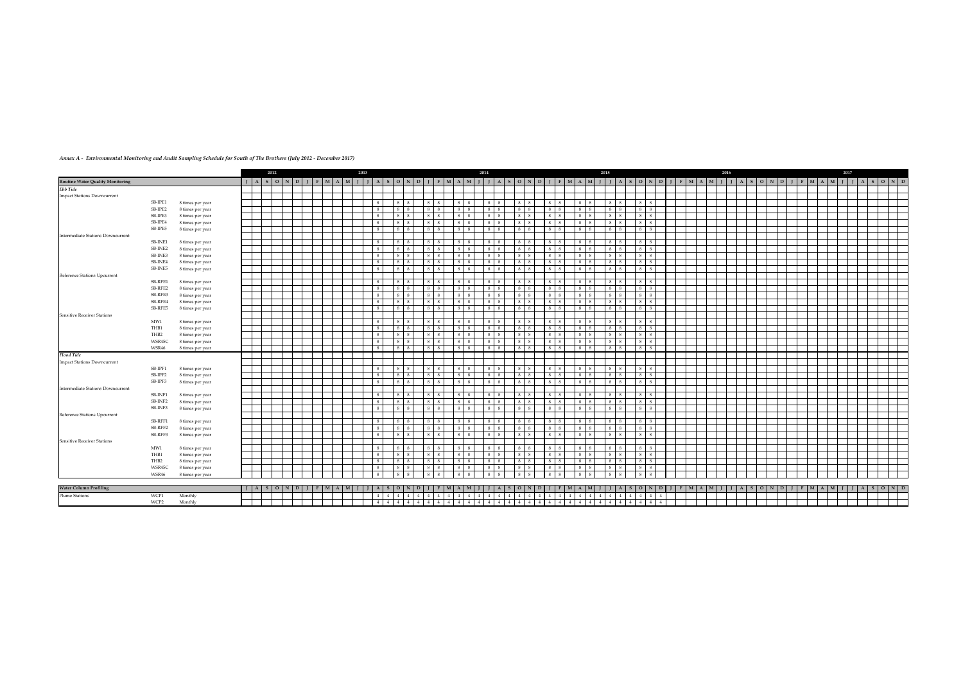|                                                     |                    |                                      | 2012                                                                                                                            |       | 2013                        |                |         |               |              |                                           | 2014                     |                          |                |               |                                       | 2015                                                                                                                                                                      |              |              |                     |                |                                                 | 2016 |              |           |  |           |  | 2017 |          |  |
|-----------------------------------------------------|--------------------|--------------------------------------|---------------------------------------------------------------------------------------------------------------------------------|-------|-----------------------------|----------------|---------|---------------|--------------|-------------------------------------------|--------------------------|--------------------------|----------------|---------------|---------------------------------------|---------------------------------------------------------------------------------------------------------------------------------------------------------------------------|--------------|--------------|---------------------|----------------|-------------------------------------------------|------|--------------|-----------|--|-----------|--|------|----------|--|
|                                                     |                    |                                      | $I \mid A \mid S \mid O \mid N \mid D$                                                                                          | $F$ M | $M$ $I$ $I$<br>$\mathbf{A}$ | S.             | $O$ N D |               |              | $F$ $M$ $A$ $M$                           |                          | $\overline{\phantom{a}}$ | $\overline{O}$ | $N$ D         | $\mathbf{I}$ $\mathbf{F}$             | M A M J J                                                                                                                                                                 |              |              |                     |                | $A$ $S$ $O$ $N$ $D$ $I$ $I$ $F$ $M$ $A$ $M$ $I$ |      | $\mathbf{A}$ | $S$ O N D |  | $F$ M A M |  |      | $A$ SOND |  |
| <b>Routine Water Quality Monitoring</b><br>Ebb Tide |                    |                                      |                                                                                                                                 |       |                             |                |         |               |              |                                           |                          |                          |                |               |                                       |                                                                                                                                                                           |              |              |                     |                |                                                 |      |              |           |  |           |  |      |          |  |
| <b>Impact Stations Downcurrent</b>                  |                    |                                      |                                                                                                                                 |       |                             |                |         |               |              |                                           |                          |                          |                |               |                                       |                                                                                                                                                                           |              |              |                     |                |                                                 |      |              |           |  |           |  |      |          |  |
|                                                     | SB-IPE1            | 8 times per year                     |                                                                                                                                 |       | 8                           | 8 8            |         | 8             |              | 8                                         | 8                        |                          |                |               | -8<br>8                               | 8 8                                                                                                                                                                       |              |              | - 8                 | $\mathbf{g}$   |                                                 |      |              |           |  |           |  |      |          |  |
|                                                     | SB-IPE2            | 8 times per year                     |                                                                                                                                 |       | 8                           | 8 8            |         | $\mathbf{g}$  |              | 8 <sup>8</sup><br>8                       | 8 8                      |                          |                |               | -8<br>-8                              | 8 8                                                                                                                                                                       |              |              | -8                  | $\overline{8}$ |                                                 |      |              |           |  |           |  |      |          |  |
|                                                     | SB-IPE3            | 8 times per year                     |                                                                                                                                 |       | 8                           | $8 \mid 8$     |         |               |              | - 8                                       | 8                        |                          |                |               | $\mathbf{R}$                          | 8 8                                                                                                                                                                       |              |              |                     | 8              |                                                 |      |              |           |  |           |  |      |          |  |
|                                                     | SB-IPE4            | 8 times per year                     |                                                                                                                                 |       | $\mathbf{g}$                | 8 8            |         |               |              | - 8<br>8 <sup>1</sup>                     | 8                        |                          |                |               | 8                                     | 8 8                                                                                                                                                                       |              |              |                     | $\overline{8}$ |                                                 |      |              |           |  |           |  |      |          |  |
|                                                     | SB-IPE5            | 8 times per year                     |                                                                                                                                 |       | 8                           | 8 8            |         | $8 \mid 8$    |              | $8 \quad 8$                               | 8 8                      |                          |                | 8             | $8 \quad 8$                           | 8 8 1                                                                                                                                                                     | 8            | $\mathbf{g}$ | 8                   | 8 <sup>8</sup> |                                                 |      |              |           |  |           |  |      |          |  |
| <b>Intermediate Stations Downcurrent</b>            |                    |                                      |                                                                                                                                 |       |                             |                |         |               |              |                                           |                          |                          |                |               |                                       |                                                                                                                                                                           |              |              |                     |                |                                                 |      |              |           |  |           |  |      |          |  |
|                                                     | SB-INE1            | 8 times per year                     |                                                                                                                                 |       | 8                           | 8 8            |         | 8             | $\mathbf{g}$ | 8 8                                       | 8 8                      |                          |                |               | 8 l                                   | 8 8                                                                                                                                                                       |              |              | $\mathbf{R}$        | $\mathbf{8}$   |                                                 |      |              |           |  |           |  |      |          |  |
|                                                     | SB-INE2            | 8 times per year                     |                                                                                                                                 |       | 8                           | 8 8            |         | 8             | -8           | 8 <sup>8</sup><br>$\overline{\mathbf{8}}$ | 8 8                      |                          |                |               | $\mathbf{g}$<br>$\overline{8}$        | 8 8                                                                                                                                                                       | 8            |              | $\mathbf{R}$        | $\overline{8}$ |                                                 |      |              |           |  |           |  |      |          |  |
|                                                     | SB-INE3            |                                      |                                                                                                                                 |       | 8                           | 8 8            |         | 8             |              | 8 <sup>8</sup>                            | 8 8                      |                          |                |               | 8                                     | 8 8                                                                                                                                                                       |              |              |                     | 8              |                                                 |      |              |           |  |           |  |      |          |  |
|                                                     | SB-INE4            | 8 times per year<br>8 times per year |                                                                                                                                 |       | 8                           | 8 8            |         | 8             |              | 8 <sup>8</sup>                            | 8 8                      |                          |                |               | -81<br>$\overline{\mathbf{8}}$        | 8 8                                                                                                                                                                       |              |              | $\mathbf{g}$        | 8              |                                                 |      |              |           |  |           |  |      |          |  |
|                                                     | SB-INE5            |                                      |                                                                                                                                 |       | 8                           | $8 \mid 8$     |         | 8             |              | 8 <sup>8</sup><br>- 8                     | $8 \mid 8$               |                          |                |               | -8<br>- 8                             | 8 8                                                                                                                                                                       |              |              | $\mathbf{g}$        | 8              |                                                 |      |              |           |  |           |  |      |          |  |
| Reference Stations Upcurrent                        |                    | 8 times per year                     |                                                                                                                                 |       |                             |                |         |               |              |                                           |                          |                          |                |               |                                       |                                                                                                                                                                           |              |              |                     |                |                                                 |      |              |           |  |           |  |      |          |  |
|                                                     |                    |                                      |                                                                                                                                 |       |                             |                |         |               |              |                                           |                          |                          |                |               |                                       |                                                                                                                                                                           |              |              |                     | $\mathbf{g}$   |                                                 |      |              |           |  |           |  |      |          |  |
|                                                     | SB-RFE1<br>SB-RFE2 | 8 times per year                     |                                                                                                                                 |       | 8<br>8                      | 8 8            |         |               |              | - 8<br>- 8                                | 8                        |                          |                |               | - 8<br>8 <sup>1</sup><br>$\mathbf{g}$ | 8 8                                                                                                                                                                       |              |              | $\mathbf{g}$        | 8              |                                                 |      |              |           |  |           |  |      |          |  |
|                                                     |                    | 8 times per year                     |                                                                                                                                 |       |                             | $8 \mid 8$     |         |               |              | 8 <sup>8</sup><br>$\overline{8}$          | 8                        |                          |                |               |                                       | 8 8                                                                                                                                                                       |              |              |                     | $\overline{8}$ |                                                 |      |              |           |  |           |  |      |          |  |
|                                                     | SB-RFE3            | 8 times per year                     |                                                                                                                                 |       | 8                           | 8 8            |         |               |              | - 8                                       | 8 8                      |                          |                |               | $\mathbf{g}$                          | 8 8                                                                                                                                                                       |              |              |                     |                |                                                 |      |              |           |  |           |  |      |          |  |
|                                                     | SB-RFE4            | 8 times per year                     |                                                                                                                                 |       | 8                           | $8 \quad 8$    |         |               |              | 8                                         | 8                        |                          |                |               | $\mathbf{g}$                          | $8 \mid 8$                                                                                                                                                                |              |              |                     | $\mathbf{g}$   |                                                 |      |              |           |  |           |  |      |          |  |
|                                                     | SB-RFE5            | 8 times per year                     |                                                                                                                                 |       | 8                           | $8 \mid 8$     |         | 8             | 8            | 8 <sup>8</sup><br>$\overline{8}$          | 8                        |                          |                |               | $\overline{8}$                        | 8 8                                                                                                                                                                       |              |              |                     | $\mathbf{g}$   |                                                 |      |              |           |  |           |  |      |          |  |
| Sensitive Receiver Stations                         |                    |                                      |                                                                                                                                 |       |                             |                |         |               |              |                                           |                          |                          |                |               |                                       |                                                                                                                                                                           |              |              |                     |                |                                                 |      |              |           |  |           |  |      |          |  |
|                                                     | MW1                | 8 times per year                     |                                                                                                                                 |       | 8                           | $8 \mid 8$     |         | 8             | $\mathbf{g}$ | 8 <sup>8</sup><br>$\overline{8}$          | 8 8                      |                          |                |               | 8<br>$\mathbf{R}$                     | 8 8                                                                                                                                                                       | $\mathbf{g}$ |              | $\mathbf{R}$        | 8              |                                                 |      |              |           |  |           |  |      |          |  |
|                                                     | THB1               | 8 times per year                     |                                                                                                                                 |       | 8                           | 8 8            |         | 8<br>8        |              | 8 8                                       | 8 <sup>8</sup>           |                          |                |               | 8 8                                   | 8 8                                                                                                                                                                       |              |              | 8                   | 8 <sup>8</sup> |                                                 |      |              |           |  |           |  |      |          |  |
|                                                     | THB <sub>2</sub>   | 8 times per year                     |                                                                                                                                 |       | 8                           | 8 8            |         | 8             | $\mathbf{g}$ | 8 <sup>1</sup><br><b>8</b>                | 8 8                      |                          |                |               | -8<br><sup>8</sup>                    | 8 8                                                                                                                                                                       |              |              | $\mathbf{g}$        | 8              |                                                 |      |              |           |  |           |  |      |          |  |
|                                                     | WSR45C             | 8 times per year                     |                                                                                                                                 |       | 8                           | $8 \mid 8$     |         | 8             |              | 8 <sup>8</sup><br>-8                      | 8 8                      |                          |                |               | - 8<br><sup>8</sup>                   | 8 8                                                                                                                                                                       |              |              | $\mathbf{g}$        | $\mathbf{g}$   |                                                 |      |              |           |  |           |  |      |          |  |
|                                                     | WSR46              | 8 times per year                     |                                                                                                                                 |       | 8                           | 8 8            |         | 8             |              | 8 <sup>8</sup><br>$\overline{8}$          | 8 8                      |                          |                |               | 8 8                                   | 8 8                                                                                                                                                                       | $\mathbf{g}$ |              | -8                  | 8              |                                                 |      |              |           |  |           |  |      |          |  |
| <b>Flood Tide</b>                                   |                    |                                      |                                                                                                                                 |       |                             |                |         |               |              |                                           |                          |                          |                |               |                                       |                                                                                                                                                                           |              |              |                     |                |                                                 |      |              |           |  |           |  |      |          |  |
| Impact Stations Downcurrent                         |                    |                                      |                                                                                                                                 |       |                             |                |         |               |              |                                           |                          |                          |                |               |                                       |                                                                                                                                                                           |              |              |                     |                |                                                 |      |              |           |  |           |  |      |          |  |
|                                                     | SB-IPF1            | 8 times per year                     |                                                                                                                                 |       | 8                           | $8 \mid 8$     |         |               |              | $\overline{8}$                            | $\mathbf{R}$             |                          |                |               |                                       | 8 8                                                                                                                                                                       |              |              |                     |                |                                                 |      |              |           |  |           |  |      |          |  |
|                                                     | SB-IPF2            | 8 times per year                     |                                                                                                                                 |       | 8                           | 8 8            |         | 8             |              | - 8                                       | 8                        |                          |                |               | -8<br>8                               | 8 8                                                                                                                                                                       |              |              |                     | 8              |                                                 |      |              |           |  |           |  |      |          |  |
|                                                     | SB-IPF3            | 8 times per year                     |                                                                                                                                 |       | 8                           | 8 8            |         | 8             |              | 8 <sup>8</sup><br>$\overline{\mathbf{8}}$ | 8 8                      |                          |                |               | $\mathbf{g}$<br>$\overline{8}$        | $8 \mid 8$                                                                                                                                                                |              |              | $\mathbf{g}$        | $\mathbf{g}$   |                                                 |      |              |           |  |           |  |      |          |  |
| <b>Intermediate Stations Downcurrent</b>            |                    |                                      |                                                                                                                                 |       |                             |                |         |               |              |                                           |                          |                          |                |               |                                       |                                                                                                                                                                           |              |              |                     |                |                                                 |      |              |           |  |           |  |      |          |  |
|                                                     | SB-INF1            | 8 times per year                     |                                                                                                                                 |       | $\mathbf{R}$                | 8 I            |         |               |              |                                           |                          |                          |                |               |                                       | 8                                                                                                                                                                         |              |              |                     |                |                                                 |      |              |           |  |           |  |      |          |  |
|                                                     | SB-INF2            | 8 times per year                     |                                                                                                                                 |       | $\overline{8}$              | 8 8            |         | $\mathcal{R}$ |              | 8 <sup>8</sup>                            | 8                        |                          |                |               | $\mathbf{g}$                          | 8 8                                                                                                                                                                       |              |              |                     | $\mathbf{R}$   |                                                 |      |              |           |  |           |  |      |          |  |
|                                                     | SB-INF3            | 8 times per year                     |                                                                                                                                 |       | 8                           | 8 <sup>8</sup> |         | 8             | $\mathbf{R}$ | $8 \times$                                | $8 \mid 8$               |                          |                |               | $\mathbf{R}$<br>$\mathbf{R}$          | 88                                                                                                                                                                        |              |              |                     | $\mathbf{R}$   |                                                 |      |              |           |  |           |  |      |          |  |
| Reference Stations Upcurrent                        |                    |                                      |                                                                                                                                 |       |                             |                |         |               |              |                                           |                          |                          |                |               |                                       |                                                                                                                                                                           |              |              |                     |                |                                                 |      |              |           |  |           |  |      |          |  |
|                                                     | SB-RFF1            | 8 times per year                     |                                                                                                                                 |       | 8                           | $8 \mid 8$     |         | 8             |              | 8 <sup>8</sup><br>$\mathbf{R}$            | 8 8                      |                          |                |               | $\mathbf{8}$<br>$\overline{8}$        | 88                                                                                                                                                                        |              |              | $\mathbf{R}$        | $\mathbf{8}$   |                                                 |      |              |           |  |           |  |      |          |  |
|                                                     | SB-RFF2            | 8 times per year                     |                                                                                                                                 |       | 8                           | 8 8            |         | 8             | 8            | 8 8                                       | 8 8                      |                          |                |               | 8 8                                   | 8 8 1                                                                                                                                                                     | 8            |              | 8                   | 8              |                                                 |      |              |           |  |           |  |      |          |  |
|                                                     | SB-RFF3            | 8 times per year                     |                                                                                                                                 |       | 8                           | $8 \mid 8$     |         | 8             |              | 8 <sup>8</sup>                            | 8 <sup>8</sup>           |                          |                |               | $\mathbf{R}$                          | 8 8                                                                                                                                                                       |              |              |                     | $\mathbf{R}$   |                                                 |      |              |           |  |           |  |      |          |  |
| <b>Sensitive Receiver Stations</b>                  |                    |                                      |                                                                                                                                 |       |                             |                |         |               |              |                                           |                          |                          |                |               |                                       |                                                                                                                                                                           |              |              |                     |                |                                                 |      |              |           |  |           |  |      |          |  |
|                                                     | MW1                | 8 times per year                     |                                                                                                                                 |       | 8                           | 8 8            |         | 8             |              | 8 8                                       | 8 8                      |                          |                |               | 8 8                                   | 8 8                                                                                                                                                                       | $\mathbf{g}$ |              | 8                   | 8              |                                                 |      |              |           |  |           |  |      |          |  |
|                                                     | THB1               |                                      |                                                                                                                                 |       | $\mathcal{R}$               | 8              |         |               |              | -8                                        | 8                        |                          |                |               |                                       | 8 8                                                                                                                                                                       |              |              |                     | $\mathbf{g}$   |                                                 |      |              |           |  |           |  |      |          |  |
|                                                     | THB2               | 8 times per year                     |                                                                                                                                 |       | 8                           | 8 8            |         | $\mathbf{g}$  |              | 8                                         | 8 <sup>8</sup>           |                          |                |               | $\mathbf{g}$                          | 8 8                                                                                                                                                                       |              |              | $\mathbf{g}$        | 8              |                                                 |      |              |           |  |           |  |      |          |  |
|                                                     |                    | 8 times per year                     |                                                                                                                                 |       | 8                           |                |         |               |              | $\overline{8}$<br>$\mathbf{R}$            | 8 8                      |                          |                |               | $\mathbf{g}$<br>- 8                   |                                                                                                                                                                           |              |              | $\mathbf{g}$        | 8              |                                                 |      |              |           |  |           |  |      |          |  |
|                                                     | WSR45C             | 8 times per year                     |                                                                                                                                 |       | 8                           | 8 8            |         |               |              |                                           | 8                        |                          |                |               |                                       | 8 8                                                                                                                                                                       |              |              |                     |                |                                                 |      |              |           |  |           |  |      |          |  |
|                                                     | WSR46              | 8 times per year                     |                                                                                                                                 |       |                             | 8              |         |               |              |                                           |                          |                          |                |               |                                       | 8 8                                                                                                                                                                       |              |              |                     |                |                                                 |      |              |           |  |           |  |      |          |  |
|                                                     |                    |                                      |                                                                                                                                 |       |                             |                |         |               |              |                                           |                          |                          |                |               |                                       |                                                                                                                                                                           |              |              |                     |                |                                                 |      |              |           |  |           |  |      |          |  |
| <b>Water Column Profiling</b>                       |                    |                                      | $J \mid A \mid S \mid O \mid N \mid D \mid J \mid F \mid M \mid A \mid M \mid J \mid J \mid A \mid S \mid O \mid N \mid D \mid$ |       |                             |                |         |               |              |                                           |                          |                          |                |               |                                       | J   F   M   A   M   J   J   A   S   O   N   D   J   F   M   A   M   J   J   A   S   O   N   D   J   T   A   S   O   N   D   J   F   M   A   M   J   J   A   S   O   N   D |              |              |                     |                |                                                 |      |              |           |  |           |  |      |          |  |
| <b>Plume Stations</b>                               | WCP1               | Monthly                              |                                                                                                                                 |       | 4 4                         | 4 4            |         |               | 4 4 4 4      | 4 <sup>1</sup>                            | 4<br>$4 \quad 4 \quad 4$ |                          |                | $\frac{4}{3}$ |                                       | 4 4 4 4 4 4 4 4 4                                                                                                                                                         |              | 4            | $4 \quad 4 \quad 4$ | -4             |                                                 |      |              |           |  |           |  |      |          |  |
|                                                     | WCP2               | Monthly                              |                                                                                                                                 |       |                             |                |         |               |              |                                           |                          |                          |                |               |                                       |                                                                                                                                                                           |              |              |                     |                |                                                 |      |              |           |  |           |  |      |          |  |